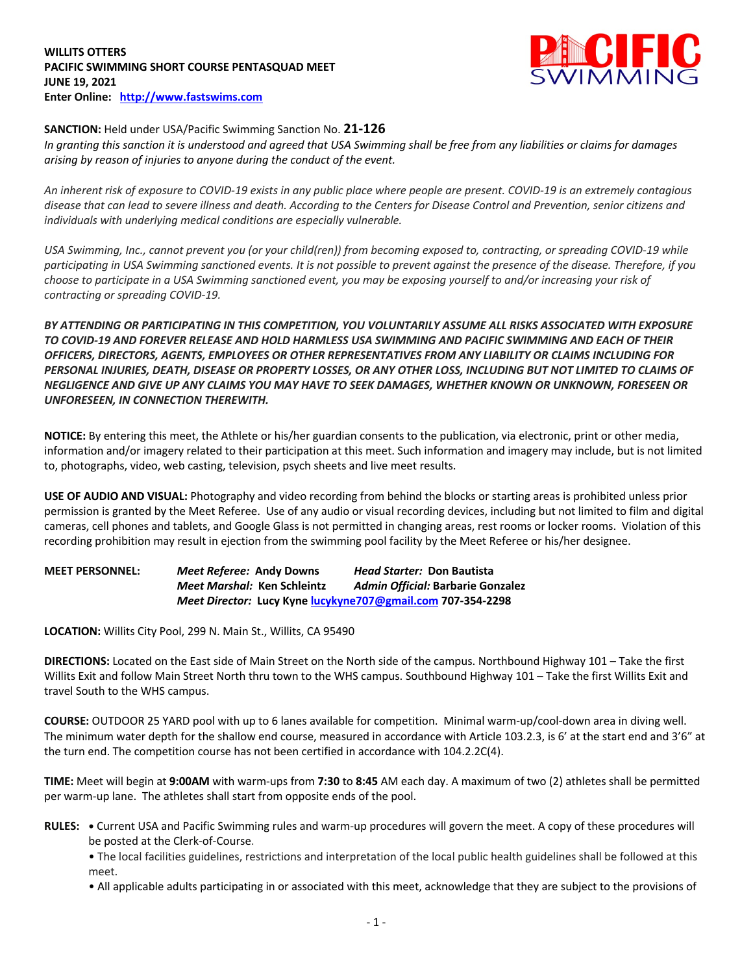## **WILLITS OTTERS PACIFIC SWIMMING SHORT COURSE PENTASQUAD MEET JUNE 19, 2021 Enter Online: http://www.fastswims.com**



# **SANCTION:** Held under USA/Pacific Swimming Sanction No. **21-126**

*In granting this sanction it is understood and agreed that USA Swimming shall be free from any liabilities or claims for damages arising by reason of injuries to anyone during the conduct of the event.* 

*An inherent risk of exposure to COVID-19 exists in any public place where people are present. COVID-19 is an extremely contagious disease that can lead to severe illness and death. According to the Centers for Disease Control and Prevention, senior citizens and individuals with underlying medical conditions are especially vulnerable.*

*USA Swimming, Inc., cannot prevent you (or your child(ren)) from becoming exposed to, contracting, or spreading COVID-19 while participating in USA Swimming sanctioned events. It is not possible to prevent against the presence of the disease. Therefore, if you choose to participate in a USA Swimming sanctioned event, you may be exposing yourself to and/or increasing your risk of contracting or spreading COVID-19.*

*BY ATTENDING OR PARTICIPATING IN THIS COMPETITION, YOU VOLUNTARILY ASSUME ALL RISKS ASSOCIATED WITH EXPOSURE TO COVID-19 AND FOREVER RELEASE AND HOLD HARMLESS USA SWIMMING AND PACIFIC SWIMMING AND EACH OF THEIR OFFICERS, DIRECTORS, AGENTS, EMPLOYEES OR OTHER REPRESENTATIVES FROM ANY LIABILITY OR CLAIMS INCLUDING FOR PERSONAL INJURIES, DEATH, DISEASE OR PROPERTY LOSSES, OR ANY OTHER LOSS, INCLUDING BUT NOT LIMITED TO CLAIMS OF NEGLIGENCE AND GIVE UP ANY CLAIMS YOU MAY HAVE TO SEEK DAMAGES, WHETHER KNOWN OR UNKNOWN, FORESEEN OR UNFORESEEN, IN CONNECTION THEREWITH.*

**NOTICE:** By entering this meet, the Athlete or his/her guardian consents to the publication, via electronic, print or other media, information and/or imagery related to their participation at this meet. Such information and imagery may include, but is not limited to, photographs, video, web casting, television, psych sheets and live meet results.

**USE OF AUDIO AND VISUAL:** Photography and video recording from behind the blocks or starting areas is prohibited unless prior permission is granted by the Meet Referee. Use of any audio or visual recording devices, including but not limited to film and digital cameras, cell phones and tablets, and Google Glass is not permitted in changing areas, rest rooms or locker rooms. Violation of this recording prohibition may result in ejection from the swimming pool facility by the Meet Referee or his/her designee.

**MEET PERSONNEL:** *Meet Referee:* **Andy Downs** *Head Starter:* **Don Bautista** *Meet Marshal:* **Ken Schleintz** *Admin Official:* **Barbarie Gonzalez** *Meet Director:* **Lucy Kyne lucykyne707@gmail.com 707-354-2298**

**LOCATION:** Willits City Pool, 299 N. Main St., Willits, CA 95490

**DIRECTIONS:** Located on the East side of Main Street on the North side of the campus. Northbound Highway 101 – Take the first Willits Exit and follow Main Street North thru town to the WHS campus. Southbound Highway 101 – Take the first Willits Exit and travel South to the WHS campus.

**COURSE:** OUTDOOR 25 YARD pool with up to 6 lanes available for competition. Minimal warm-up/cool-down area in diving well. The minimum water depth for the shallow end course, measured in accordance with Article 103.2.3, is 6' at the start end and 3'6" at the turn end. The competition course has not been certified in accordance with 104.2.2C(4).

**TIME:** Meet will begin at **9:00AM** with warm-ups from **7:30** to **8:45** AM each day. A maximum of two (2) athletes shall be permitted per warm-up lane. The athletes shall start from opposite ends of the pool.

**RULES: •** Current USA and Pacific Swimming rules and warm-up procedures will govern the meet. A copy of these procedures will be posted at the Clerk-of-Course.

• The local facilities guidelines, restrictions and interpretation of the local public health guidelines shall be followed at this meet.

• All applicable adults participating in or associated with this meet, acknowledge that they are subject to the provisions of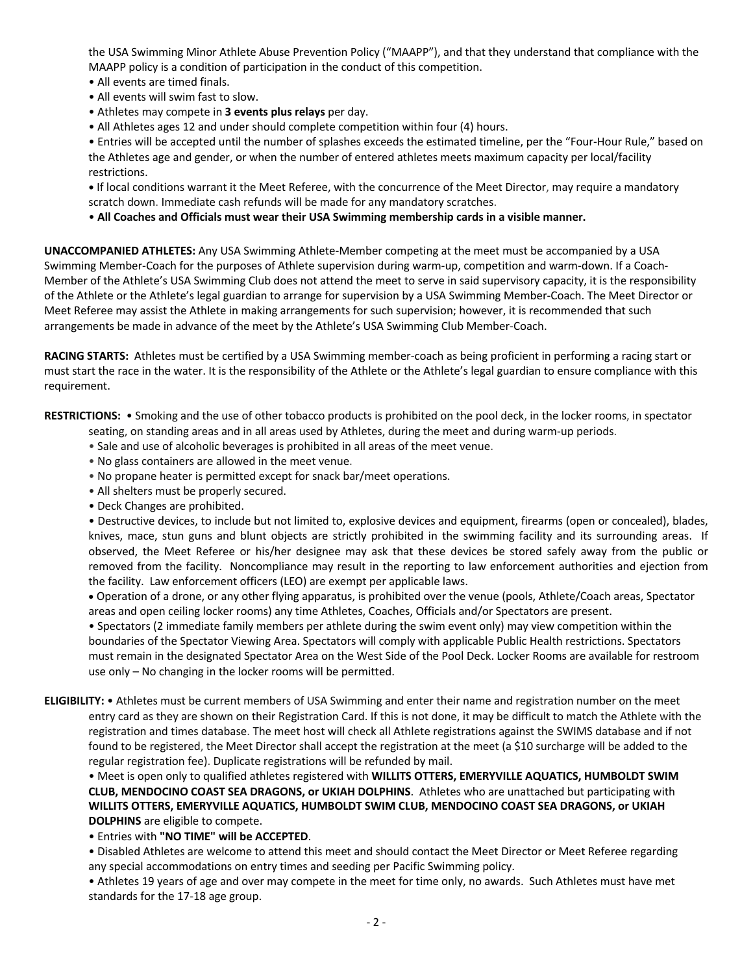the USA Swimming Minor Athlete Abuse Prevention Policy ("MAAPP"), and that they understand that compliance with the MAAPP policy is a condition of participation in the conduct of this competition.

- All events are timed finals.
- All events will swim fast to slow.
- Athletes may compete in **3 events plus relays** per day.
- All Athletes ages 12 and under should complete competition within four (4) hours.

• Entries will be accepted until the number of splashes exceeds the estimated timeline, per the "Four-Hour Rule," based on the Athletes age and gender, or when the number of entered athletes meets maximum capacity per local/facility restrictions.

**•** If local conditions warrant it the Meet Referee, with the concurrence of the Meet Director, may require a mandatory scratch down. Immediate cash refunds will be made for any mandatory scratches.

• **All Coaches and Officials must wear their USA Swimming membership cards in a visible manner.** 

**UNACCOMPANIED ATHLETES:** Any USA Swimming Athlete-Member competing at the meet must be accompanied by a USA Swimming Member-Coach for the purposes of Athlete supervision during warm-up, competition and warm-down. If a Coach-Member of the Athlete's USA Swimming Club does not attend the meet to serve in said supervisory capacity, it is the responsibility of the Athlete or the Athlete's legal guardian to arrange for supervision by a USA Swimming Member-Coach. The Meet Director or Meet Referee may assist the Athlete in making arrangements for such supervision; however, it is recommended that such arrangements be made in advance of the meet by the Athlete's USA Swimming Club Member-Coach.

**RACING STARTS:** Athletes must be certified by a USA Swimming member-coach as being proficient in performing a racing start or must start the race in the water. It is the responsibility of the Athlete or the Athlete's legal guardian to ensure compliance with this requirement.

**RESTRICTIONS:** • Smoking and the use of other tobacco products is prohibited on the pool deck, in the locker rooms, in spectator

- seating, on standing areas and in all areas used by Athletes, during the meet and during warm-up periods.
- Sale and use of alcoholic beverages is prohibited in all areas of the meet venue.
- No glass containers are allowed in the meet venue.
- No propane heater is permitted except for snack bar/meet operations.
- All shelters must be properly secured.
- Deck Changes are prohibited.

• Destructive devices, to include but not limited to, explosive devices and equipment, firearms (open or concealed), blades, knives, mace, stun guns and blunt objects are strictly prohibited in the swimming facility and its surrounding areas. If observed, the Meet Referee or his/her designee may ask that these devices be stored safely away from the public or removed from the facility. Noncompliance may result in the reporting to law enforcement authorities and ejection from the facility. Law enforcement officers (LEO) are exempt per applicable laws.

• Operation of a drone, or any other flying apparatus, is prohibited over the venue (pools, Athlete/Coach areas, Spectator areas and open ceiling locker rooms) any time Athletes, Coaches, Officials and/or Spectators are present.

• Spectators (2 immediate family members per athlete during the swim event only) may view competition within the boundaries of the Spectator Viewing Area. Spectators will comply with applicable Public Health restrictions. Spectators must remain in the designated Spectator Area on the West Side of the Pool Deck. Locker Rooms are available for restroom use only – No changing in the locker rooms will be permitted.

**ELIGIBILITY:** • Athletes must be current members of USA Swimming and enter their name and registration number on the meet entry card as they are shown on their Registration Card. If this is not done, it may be difficult to match the Athlete with the registration and times database. The meet host will check all Athlete registrations against the SWIMS database and if not found to be registered, the Meet Director shall accept the registration at the meet (a \$10 surcharge will be added to the regular registration fee). Duplicate registrations will be refunded by mail.

• Meet is open only to qualified athletes registered with **WILLITS OTTERS, EMERYVILLE AQUATICS, HUMBOLDT SWIM CLUB, MENDOCINO COAST SEA DRAGONS, or UKIAH DOLPHINS**. Athletes who are unattached but participating with **WILLITS OTTERS, EMERYVILLE AQUATICS, HUMBOLDT SWIM CLUB, MENDOCINO COAST SEA DRAGONS, or UKIAH DOLPHINS** are eligible to compete.

• Entries with **"NO TIME" will be ACCEPTED**.

• Disabled Athletes are welcome to attend this meet and should contact the Meet Director or Meet Referee regarding any special accommodations on entry times and seeding per Pacific Swimming policy.

• Athletes 19 years of age and over may compete in the meet for time only, no awards. Such Athletes must have met standards for the 17-18 age group.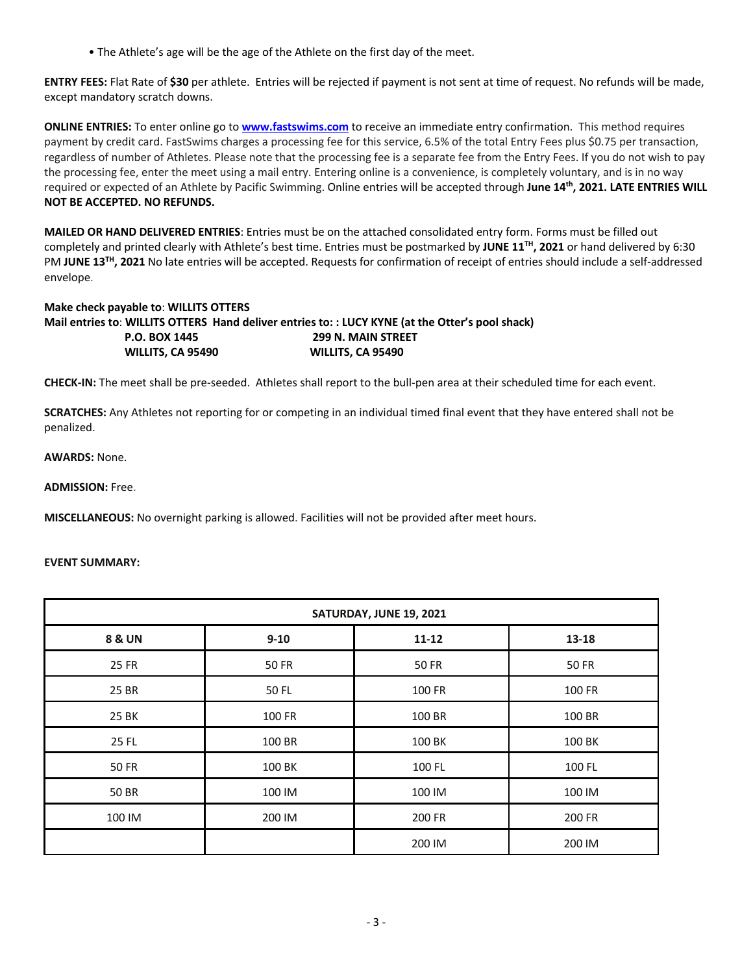• The Athlete's age will be the age of the Athlete on the first day of the meet.

**ENTRY FEES:** Flat Rate of **\$30** per athlete. Entries will be rejected if payment is not sent at time of request. No refunds will be made, except mandatory scratch downs.

**ONLINE ENTRIES:** To enter online go to **www.fastswims.com** to receive an immediate entry confirmation. This method requires payment by credit card. FastSwims charges a processing fee for this service, 6.5% of the total Entry Fees plus \$0.75 per transaction, regardless of number of Athletes. Please note that the processing fee is a separate fee from the Entry Fees. If you do not wish to pay the processing fee, enter the meet using a mail entry. Entering online is a convenience, is completely voluntary, and is in no way required or expected of an Athlete by Pacific Swimming. Online entries will be accepted through **June 14th, 2021. LATE ENTRIES WILL NOT BE ACCEPTED. NO REFUNDS.**

**MAILED OR HAND DELIVERED ENTRIES**: Entries must be on the attached consolidated entry form. Forms must be filled out completely and printed clearly with Athlete's best time. Entries must be postmarked by **JUNE 11TH, 2021** or hand delivered by 6:30 PM **JUNE 13TH, 2021** No late entries will be accepted. Requests for confirmation of receipt of entries should include a self-addressed envelope.

## **Make check payable to**: **WILLITS OTTERS**

**Mail entries to**: **WILLITS OTTERS Hand deliver entries to: : LUCY KYNE (at the Otter's pool shack) P.O. BOX 1445 299 N. MAIN STREET WILLITS, CA 95490 WILLITS, CA 95490** 

**CHECK-IN:** The meet shall be pre-seeded. Athletes shall report to the bull-pen area at their scheduled time for each event.

**SCRATCHES:** Any Athletes not reporting for or competing in an individual timed final event that they have entered shall not be penalized.

#### **AWARDS:** None.

**ADMISSION:** Free.

**MISCELLANEOUS:** No overnight parking is allowed. Facilities will not be provided after meet hours.

#### **EVENT SUMMARY:**

| SATURDAY, JUNE 19, 2021 |          |              |              |  |  |  |  |  |
|-------------------------|----------|--------------|--------------|--|--|--|--|--|
| <b>8 &amp; UN</b>       | $9 - 10$ | $11 - 12$    | $13 - 18$    |  |  |  |  |  |
| 25 FR                   | 50 FR    | <b>50 FR</b> | <b>50 FR</b> |  |  |  |  |  |
| 25 BR                   | 50 FL    | 100 FR       | 100 FR       |  |  |  |  |  |
| 25 BK                   | 100 FR   | 100 BR       | 100 BR       |  |  |  |  |  |
| 25 FL                   | 100 BR   | 100 BK       | 100 BK       |  |  |  |  |  |
| <b>50 FR</b>            | 100 BK   | 100 FL       | 100 FL       |  |  |  |  |  |
| 50 BR                   | 100 IM   | 100 IM       | 100 IM       |  |  |  |  |  |
| 100 IM                  | 200 IM   | 200 FR       | 200 FR       |  |  |  |  |  |
|                         |          | 200 IM       | 200 IM       |  |  |  |  |  |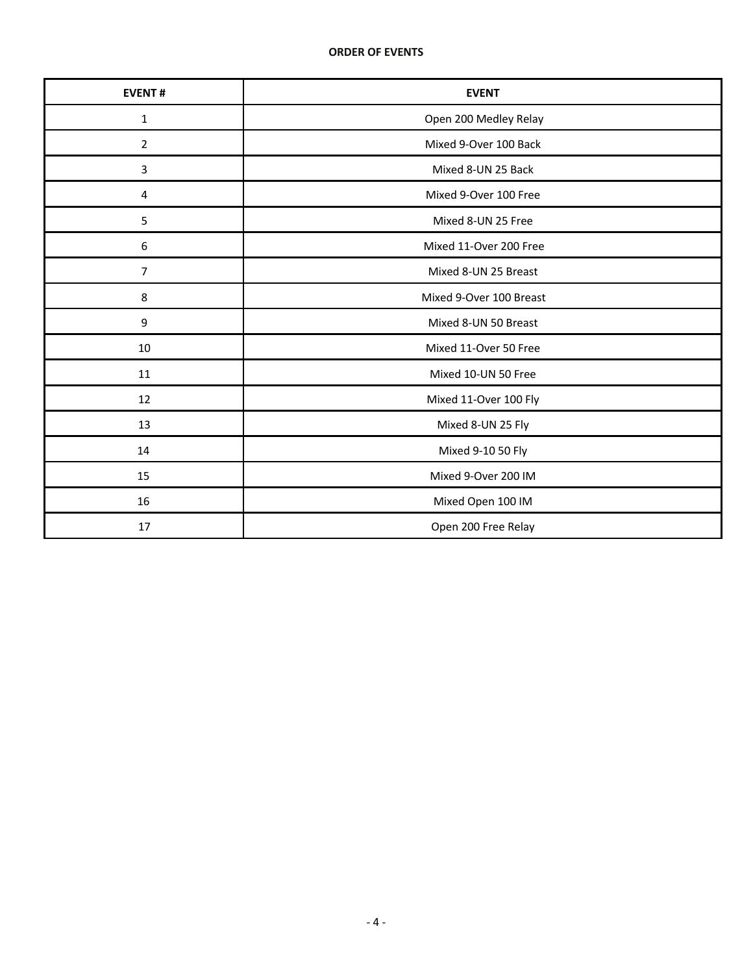| <b>EVENT#</b>  | <b>EVENT</b>            |
|----------------|-------------------------|
| $\mathbf{1}$   | Open 200 Medley Relay   |
| $\overline{2}$ | Mixed 9-Over 100 Back   |
| $\mathbf{3}$   | Mixed 8-UN 25 Back      |
| 4              | Mixed 9-Over 100 Free   |
| 5              | Mixed 8-UN 25 Free      |
| 6              | Mixed 11-Over 200 Free  |
| $\overline{7}$ | Mixed 8-UN 25 Breast    |
| 8              | Mixed 9-Over 100 Breast |
| 9              | Mixed 8-UN 50 Breast    |
| 10             | Mixed 11-Over 50 Free   |
| 11             | Mixed 10-UN 50 Free     |
| 12             | Mixed 11-Over 100 Fly   |
| 13             | Mixed 8-UN 25 Fly       |
| 14             | Mixed 9-10 50 Fly       |
| 15             | Mixed 9-Over 200 IM     |
| 16             | Mixed Open 100 IM       |
| 17             | Open 200 Free Relay     |